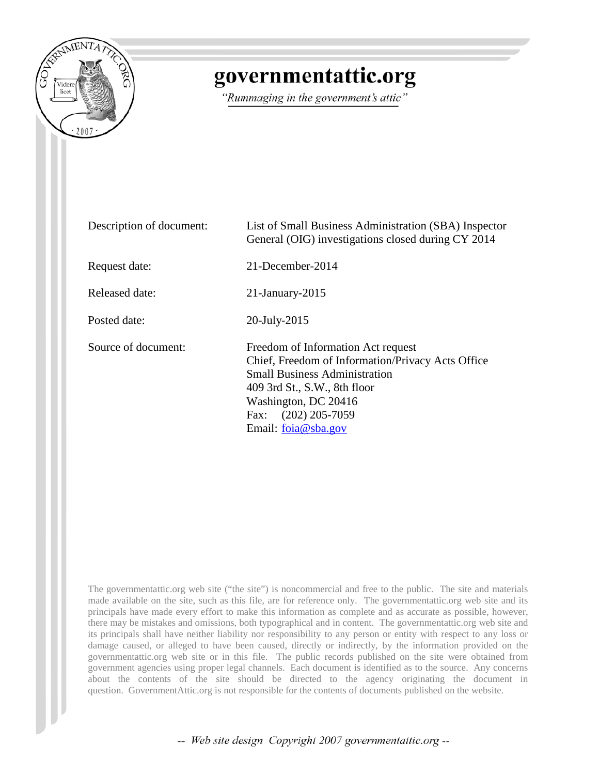

## governmentattic.org

"Rummaging in the government's attic"

| Description of document: | List of Small Business Administration (SBA) Inspector<br>General (OIG) investigations closed during CY 2014                                                                                                                                  |
|--------------------------|----------------------------------------------------------------------------------------------------------------------------------------------------------------------------------------------------------------------------------------------|
| Request date:            | 21-December-2014                                                                                                                                                                                                                             |
| Released date:           | $21$ -January- $2015$                                                                                                                                                                                                                        |
| Posted date:             | 20-July-2015                                                                                                                                                                                                                                 |
| Source of document:      | Freedom of Information Act request<br>Chief, Freedom of Information/Privacy Acts Office<br><b>Small Business Administration</b><br>409 3rd St., S.W., 8th floor<br>Washington, DC 20416<br>$(202)$ 205-7059<br>Fax:<br>Email: $foia@sha.gov$ |

The governmentattic.org web site ("the site") is noncommercial and free to the public. The site and materials made available on the site, such as this file, are for reference only. The governmentattic.org web site and its principals have made every effort to make this information as complete and as accurate as possible, however, there may be mistakes and omissions, both typographical and in content. The governmentattic.org web site and its principals shall have neither liability nor responsibility to any person or entity with respect to any loss or damage caused, or alleged to have been caused, directly or indirectly, by the information provided on the governmentattic.org web site or in this file. The public records published on the site were obtained from government agencies using proper legal channels. Each document is identified as to the source. Any concerns about the contents of the site should be directed to the agency originating the document in question. GovernmentAttic.org is not responsible for the contents of documents published on the website.

-- Web site design Copyright 2007 governmentattic.org --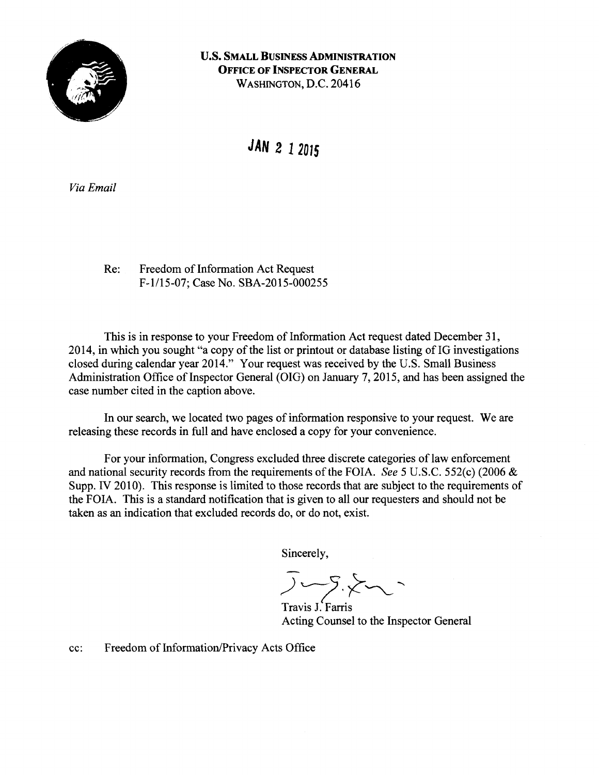

**U.S. SMALL BUSINESS ADMINISTRATION OFFICE OF INSPECTOR GENERAL**  WASHINGTON, D.C. 20416

**JAN 2 1 2015** 

*Via Email* 

Re: Freedom of Information Act Request F-1/15-07; Case No. SBA-2015-000255

This is in response to your Freedom of Information Act request dated December 31, 2014, in which you sought "a copy of the list or printout or database listing of IG investigations closed during calendar year 2014." Your request was received by the U.S. Small Business Administration Office of Inspector General (OIG) on January 7, 2015, and has been assigned the case number cited in the caption above.

In our search, we located two pages of information responsive to your request. We are releasing these records in full and have enclosed a copy for your convenience.

For your information, Congress excluded three discrete categories of law enforcement and national security records from the requirements of the FOIA. *See* 5 U.S.C. 552(c) (2006 & Supp. IV 2010). This response is limited to those records that are subject to the requirements of the FOIA. This is a standard notification that is given to all our requesters and should not be taken as an indication that excluded records do, or do not, exist.

Sincerely,

 $y-z\not\sim$ 

Travis J. Farris Acting Counsel to the Inspector General

cc: Freedom of Information/Privacy Acts Office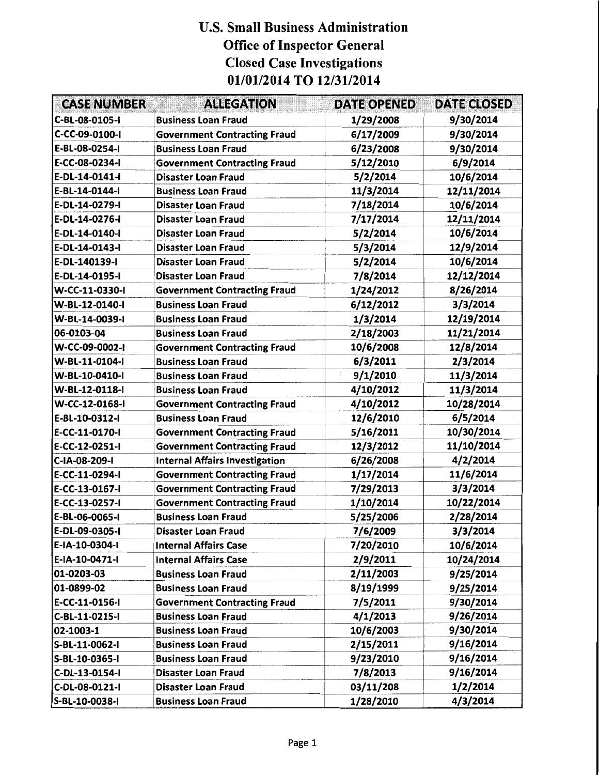## U.S. Small Business Administration Office of Inspector General Closed Case Investigations 01/01/2014 TO 12/31/2014

| <b>CASE NUMBER</b> | <b>ALLEGATION</b>                     | <b>DATE OPENED</b> | <b>DATE CLOSED</b> |
|--------------------|---------------------------------------|--------------------|--------------------|
| C-BL-08-0105-I     | <b>Business Loan Fraud</b>            | 1/29/2008          | 9/30/2014          |
| C-CC-09-0100-I     | <b>Government Contracting Fraud</b>   | 6/17/2009          | 9/30/2014          |
| E-BL-08-0254-I     | <b>Business Loan Fraud</b>            | 6/23/2008          | 9/30/2014          |
| E-CC-08-0234-I     | <b>Government Contracting Fraud</b>   | 5/12/2010          | 6/9/2014           |
| E-DL-14-0141-I     | <b>Disaster Loan Fraud</b>            | 5/2/2014           | 10/6/2014          |
| E-BL-14-0144-I     | <b>Business Loan Fraud</b>            | 11/3/2014          | 12/11/2014         |
| E-DL-14-0279-I     | <b>Disaster Loan Fraud</b>            | 7/18/2014          | 10/6/2014          |
| E-DL-14-0276-I     | <b>Disaster Loan Fraud</b>            | 7/17/2014          | 12/11/2014         |
| E-DL-14-0140-I     | <b>Disaster Loan Fraud</b>            | 5/2/2014           | 10/6/2014          |
| E-DL-14-0143-I     | <b>Disaster Loan Fraud</b>            | 5/3/2014           | 12/9/2014          |
| E-DL-140139-I      | <b>Disaster Loan Fraud</b>            | 5/2/2014           | 10/6/2014          |
| E-DL-14-0195-I     | <b>Disaster Loan Fraud</b>            | 7/8/2014           | 12/12/2014         |
| W-CC-11-0330-I     | <b>Government Contracting Fraud</b>   | 1/24/2012          | 8/26/2014          |
| W-BL-12-0140-I     | <b>Business Loan Fraud</b>            | 6/12/2012          | 3/3/2014           |
| W-BL-14-0039-I     | <b>Business Loan Fraud</b>            | 1/3/2014           | 12/19/2014         |
| 06-0103-04         | <b>Business Loan Fraud</b>            | 2/18/2003          | 11/21/2014         |
| W-CC-09-0002-I     | <b>Government Contracting Fraud</b>   | 10/6/2008          | 12/8/2014          |
| W-BL-11-0104-I     | <b>Business Loan Fraud</b>            | 6/3/2011           | 2/3/2014           |
| W-BL-10-0410-I     | <b>Business Loan Fraud</b>            | 9/1/2010           | 11/3/2014          |
| W-BL-12-0118-I     | <b>Business Loan Fraud</b>            | 4/10/2012          | 11/3/2014          |
| W-CC-12-0168-I     | <b>Government Contracting Fraud</b>   | 4/10/2012          | 10/28/2014         |
| E-BL-10-0312-I     | <b>Business Loan Fraud</b>            | 12/6/2010          | 6/5/2014           |
| E-CC-11-0170-I     | <b>Government Contracting Fraud</b>   | 5/16/2011          | 10/30/2014         |
| E-CC-12-0251-I     | <b>Government Contracting Fraud</b>   | 12/3/2012          | 11/10/2014         |
| C-IA-08-209-I      | <b>Internal Affairs Investigation</b> | 6/26/2008          | 4/2/2014           |
| E-CC-11-0294-I     | <b>Government Contracting Fraud</b>   | 1/17/2014          | 11/6/2014          |
| E-CC-13-0167-I     | <b>Government Contracting Fraud</b>   | 7/29/2013          | 3/3/2014           |
| E-CC-13-0257-I     | <b>Government Contracting Fraud</b>   | 1/10/2014          | 10/22/2014         |
| E-BL-06-0065-I     | <b>Business Loan Fraud</b>            | 5/25/2006          | 2/28/2014          |
| E-DL-09-0305-I     | Disaster Loan Fraud                   | 7/6/2009           | 3/3/2014           |
| E-IA-10-0304-I     | <b>Internal Affairs Case</b>          | 7/20/2010          | 10/6/2014          |
| E-IA-10-0471-I     | <b>Internal Affairs Case</b>          | 2/9/2011           | 10/24/2014         |
| 01-0203-03         | <b>Business Loan Fraud</b>            | 2/11/2003          | 9/25/2014          |
| 01-0899-02         | <b>Business Loan Fraud</b>            | 8/19/1999          | 9/25/2014          |
| E-CC-11-0156-I     | <b>Government Contracting Fraud</b>   | 7/5/2011           | 9/30/2014          |
| C-BL-11-0215-I     | <b>Business Loan Fraud</b>            | 4/1/2013           | 9/26/2014          |
| 02-1003-1          | <b>Business Loan Fraud</b>            | 10/6/2003          | 9/30/2014          |
| S-BL-11-0062-I     | <b>Business Loan Fraud</b>            | 2/15/2011          | 9/16/2014          |
| S-BL-10-0365-I     | <b>Business Loan Fraud</b>            | 9/23/2010          | 9/16/2014          |
| C-DL-13-0154-I     | <b>Disaster Loan Fraud</b>            | 7/8/2013           | 9/16/2014          |
| C-DL-08-0121-I     | Disaster Loan Fraud                   | 03/11/208          | 1/2/2014           |
| S-BL-10-0038-I     | <b>Business Loan Fraud</b>            | 1/28/2010          | 4/3/2014           |